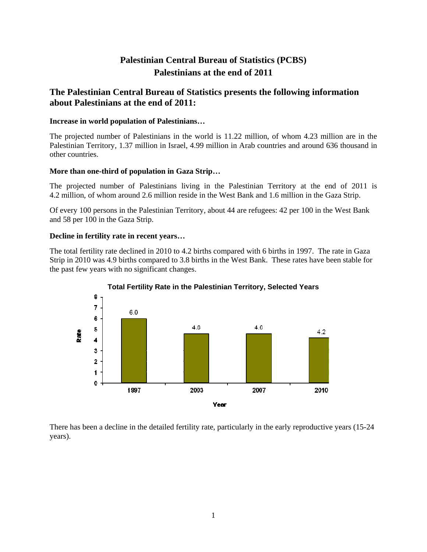# **Palestinian Central Bureau of Statistics (PCBS) Palestinians at the end of 2011**

# **The Palestinian Central Bureau of Statistics presents the following information about Palestinians at the end of 2011:**

#### **Increase in world population of Palestinians…**

The projected number of Palestinians in the world is 11.22 million, of whom 4.23 million are in the Palestinian Territory, 1.37 million in Israel, 4.99 million in Arab countries and around 636 thousand in other countries.

### **More than one-third of population in Gaza Strip…**

The projected number of Palestinians living in the Palestinian Territory at the end of 2011 is 4.2 million, of whom around 2.6 million reside in the West Bank and 1.6 million in the Gaza Strip.

Of every 100 persons in the Palestinian Territory, about 44 are refugees: 42 per 100 in the West Bank and 58 per 100 in the Gaza Strip.

### **Decline in fertility rate in recent years…**

The total fertility rate declined in 2010 to 4.2 births compared with 6 births in 1997. The rate in Gaza Strip in 2010 was 4.9 births compared to 3.8 births in the West Bank. These rates have been stable for the past few years with no significant changes.



**Total Fertility Rate in the Palestinian Territory, Selected Years** 

There has been a decline in the detailed fertility rate, particularly in the early reproductive years (15-24 years).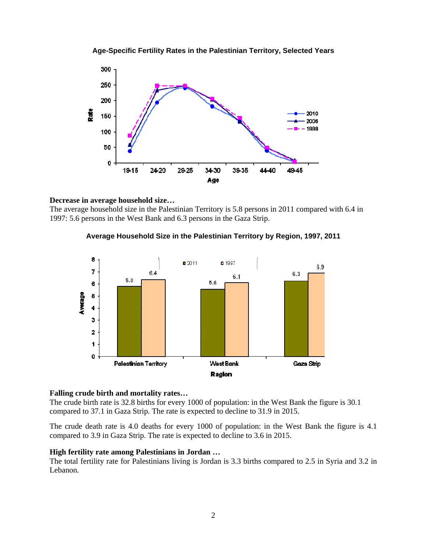



#### **Decrease in average household size…**

The average household size in the Palestinian Territory is 5.8 persons in 2011 compared with 6.4 in 1997: 5.6 persons in the West Bank and 6.3 persons in the Gaza Strip.





#### **Falling crude birth and mortality rates…**

The crude birth rate is 32.8 births for every 1000 of population: in the West Bank the figure is 30.1 compared to 37.1 in Gaza Strip. The rate is expected to decline to 31.9 in 2015.

The crude death rate is 4.0 deaths for every 1000 of population: in the West Bank the figure is 4.1 compared to 3.9 in Gaza Strip. The rate is expected to decline to 3.6 in 2015.

#### **High fertility rate among Palestinians in Jordan …**

The total fertility rate for Palestinians living is Jordan is 3.3 births compared to 2.5 in Syria and 3.2 in Lebanon.